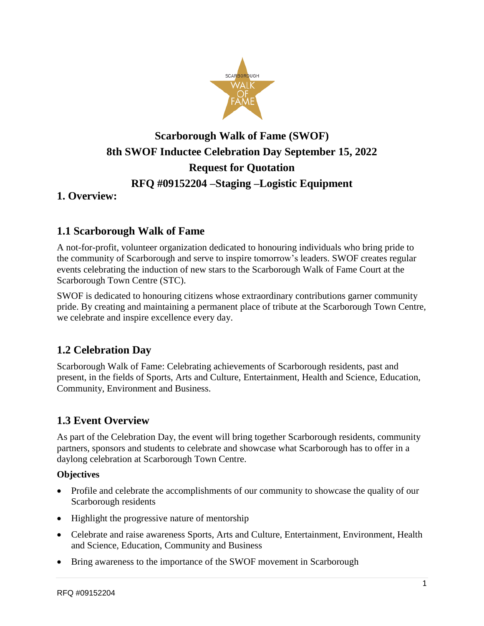

# **Scarborough Walk of Fame (SWOF) 8th SWOF Inductee Celebration Day September 15, 2022 Request for Quotation RFQ #09152204 –Staging –Logistic Equipment**

### **1. Overview:**

### **1.1 Scarborough Walk of Fame**

A not-for-profit, volunteer organization dedicated to honouring individuals who bring pride to the community of Scarborough and serve to inspire tomorrow's leaders. SWOF creates regular events celebrating the induction of new stars to the Scarborough Walk of Fame Court at the Scarborough Town Centre (STC).

SWOF is dedicated to honouring citizens whose extraordinary contributions garner community pride. By creating and maintaining a permanent place of tribute at the Scarborough Town Centre, we celebrate and inspire excellence every day.

### **1.2 Celebration Day**

Scarborough Walk of Fame: Celebrating achievements of Scarborough residents, past and present, in the fields of Sports, Arts and Culture, Entertainment, Health and Science, Education, Community, Environment and Business.

# **1.3 Event Overview**

As part of the Celebration Day, the event will bring together Scarborough residents, community partners, sponsors and students to celebrate and showcase what Scarborough has to offer in a daylong celebration at Scarborough Town Centre.

#### **Objectives**

- Profile and celebrate the accomplishments of our community to showcase the quality of our Scarborough residents
- Highlight the progressive nature of mentorship
- Celebrate and raise awareness Sports, Arts and Culture, Entertainment, Environment, Health and Science, Education, Community and Business
- Bring awareness to the importance of the SWOF movement in Scarborough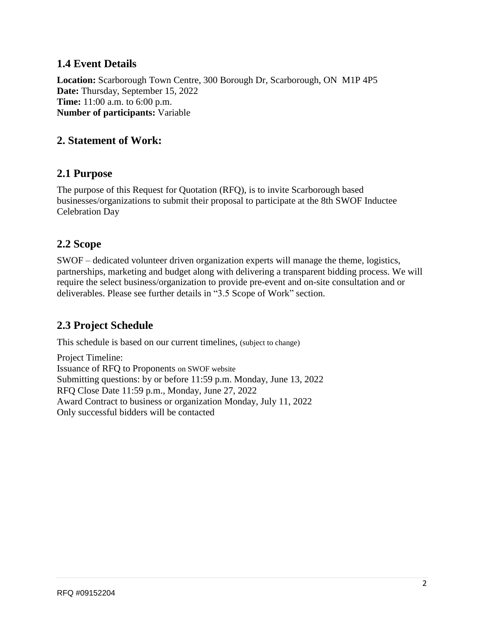### **1.4 Event Details**

**Location:** Scarborough Town Centre, 300 Borough Dr, Scarborough, ON M1P 4P5 **Date:** Thursday, September 15, 2022 **Time:** 11:00 a.m. to 6:00 p.m. **Number of participants:** Variable

### **2. Statement of Work:**

#### **2.1 Purpose**

The purpose of this Request for Quotation (RFQ), is to invite Scarborough based businesses/organizations to submit their proposal to participate at the 8th SWOF Inductee Celebration Day

#### **2.2 Scope**

SWOF – dedicated volunteer driven organization experts will manage the theme, logistics, partnerships, marketing and budget along with delivering a transparent bidding process. We will require the select business/organization to provide pre-event and on-site consultation and or deliverables. Please see further details in "3.5 Scope of Work" section.

# **2.3 Project Schedule**

This schedule is based on our current timelines, (subject to change)

Project Timeline: Issuance of RFQ to Proponents on SWOF website Submitting questions: by or before 11:59 p.m. Monday, June 13, 2022 RFQ Close Date 11:59 p.m., Monday, June 27, 2022 Award Contract to business or organization Monday, July 11, 2022 Only successful bidders will be contacted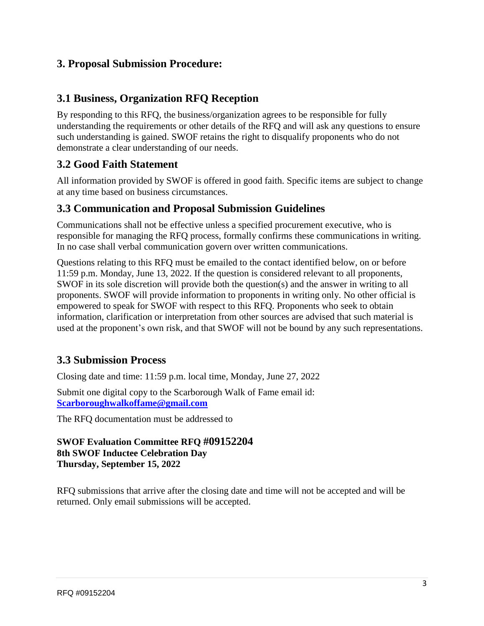### **3. Proposal Submission Procedure:**

### **3.1 Business, Organization RFQ Reception**

By responding to this RFQ, the business/organization agrees to be responsible for fully understanding the requirements or other details of the RFQ and will ask any questions to ensure such understanding is gained. SWOF retains the right to disqualify proponents who do not demonstrate a clear understanding of our needs.

### **3.2 Good Faith Statement**

All information provided by SWOF is offered in good faith. Specific items are subject to change at any time based on business circumstances.

#### **3.3 Communication and Proposal Submission Guidelines**

Communications shall not be effective unless a specified procurement executive, who is responsible for managing the RFQ process, formally confirms these communications in writing. In no case shall verbal communication govern over written communications.

Questions relating to this RFQ must be emailed to the contact identified below, on or before 11:59 p.m. Monday, June 13, 2022. If the question is considered relevant to all proponents, SWOF in its sole discretion will provide both the question(s) and the answer in writing to all proponents. SWOF will provide information to proponents in writing only. No other official is empowered to speak for SWOF with respect to this RFQ. Proponents who seek to obtain information, clarification or interpretation from other sources are advised that such material is used at the proponent's own risk, and that SWOF will not be bound by any such representations.

### **3.3 Submission Process**

Closing date and time: 11:59 p.m. local time, Monday, June 27, 2022

Submit one digital copy to the Scarborough Walk of Fame email id: **[Scarboroughwalkoffame@gmail.com](mailto:Scarboroughwalkoffame@gmail.com)**

The RFQ documentation must be addressed to

#### **SWOF Evaluation Committee RFQ #09152204 8th SWOF Inductee Celebration Day Thursday, September 15, 2022**

RFQ submissions that arrive after the closing date and time will not be accepted and will be returned. Only email submissions will be accepted.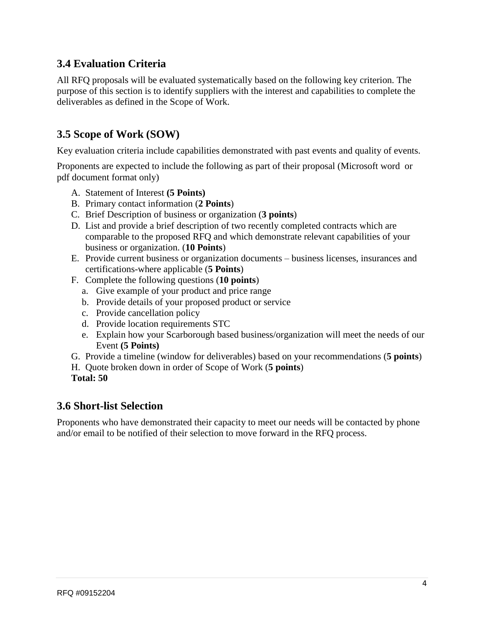# **3.4 Evaluation Criteria**

All RFQ proposals will be evaluated systematically based on the following key criterion. The purpose of this section is to identify suppliers with the interest and capabilities to complete the deliverables as defined in the Scope of Work.

# **3.5 Scope of Work (SOW)**

Key evaluation criteria include capabilities demonstrated with past events and quality of events.

Proponents are expected to include the following as part of their proposal (Microsoft word or pdf document format only)

- A. Statement of Interest **(5 Points)**
- B. Primary contact information (**2 Points**)
- C. Brief Description of business or organization (**3 points**)
- D. List and provide a brief description of two recently completed contracts which are comparable to the proposed RFQ and which demonstrate relevant capabilities of your business or organization. (**10 Points**)
- E. Provide current business or organization documents business licenses, insurances and certifications-where applicable (**5 Points**)
- F. Complete the following questions (**10 points**)
	- a. Give example of your product and price range
	- b. Provide details of your proposed product or service
	- c. Provide cancellation policy
	- d. Provide location requirements STC
	- e. Explain how your Scarborough based business/organization will meet the needs of our Event **(5 Points)**
- G. Provide a timeline (window for deliverables) based on your recommendations (**5 points**)
- H. Quote broken down in order of Scope of Work (**5 points**)
- **Total: 50**

#### **3.6 Short-list Selection**

Proponents who have demonstrated their capacity to meet our needs will be contacted by phone and/or email to be notified of their selection to move forward in the RFQ process.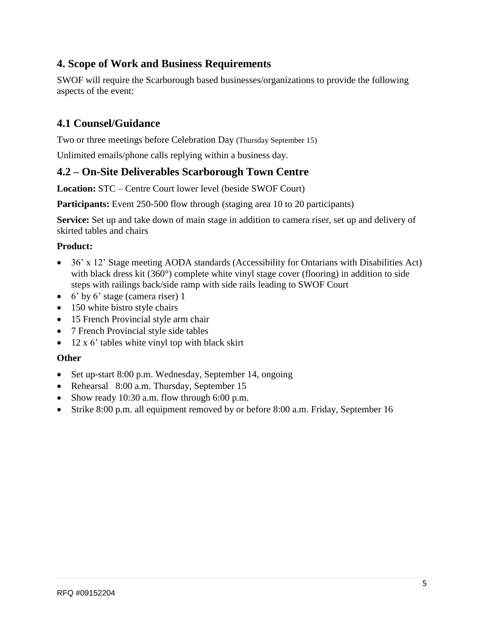# **4. Scope of Work and Business Requirements**

SWOF will require the Scarborough based businesses/organizations to provide the following aspects of the event:

# **4.1 Counsel/Guidance**

Two or three meetings before Celebration Day (Thursday September 15)

Unlimited emails/phone calls replying within a business day.

### **4.2 – On-Site Deliverables Scarborough Town Centre**

**Location:** STC – Centre Court lower level (beside SWOF Court)

**Participants:** Event 250-500 flow through (staging area 10 to 20 participants)

**Service:** Set up and take down of main stage in addition to camera riser, set up and delivery of skirted tables and chairs

#### **Product:**

- 36' x 12' Stage meeting AODA standards (Accessibility for Ontarians with Disabilities Act) with black dress kit (360°) complete white vinyl stage cover (flooring) in addition to side steps with railings back/side ramp with side rails leading to SWOF Court
- 6' by 6' stage (camera riser) 1
- 150 white bistro style chairs
- 15 French Provincial style arm chair
- 7 French Provincial style side tables
- $\bullet$  12 x 6' tables white vinyl top with black skirt

#### **Other**

- Set up-start 8:00 p.m. Wednesday, September 14, ongoing
- Rehearsal 8:00 a.m. Thursday, September 15
- Show ready 10:30 a.m. flow through 6:00 p.m.
- Strike 8:00 p.m. all equipment removed by or before 8:00 a.m. Friday, September 16